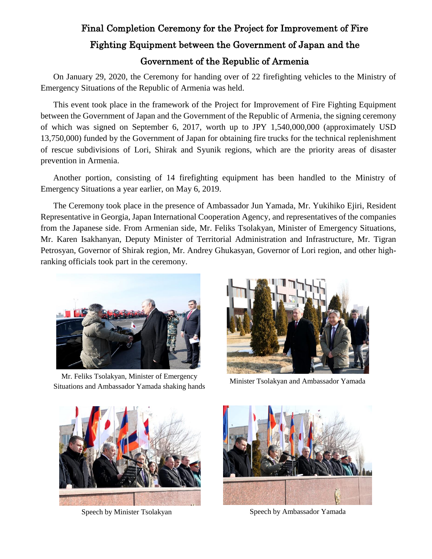## Final Completion Ceremony for the Project for Improvement of Fire Fighting Equipment between the Government of Japan and the Government of the Republic of Armenia

On January 29, 2020, the Ceremony for handing over of 22 firefighting vehicles to the Ministry of Emergency Situations of the Republic of Armenia was held.

This event took place in the framework of the Project for Improvement of Fire Fighting Equipment between the Government of Japan and the Government of the Republic of Armenia, the signing ceremony of which was signed on September 6, 2017, worth up to JPY 1,540,000,000 (approximately USD 13,750,000) funded by the Government of Japan for obtaining fire trucks for the technical replenishment of rescue subdivisions of Lori, Shirak and Syunik regions, which are the priority areas of disaster prevention in Armenia.

Another portion, consisting of 14 firefighting equipment has been handled to the Ministry of Emergency Situations a year earlier, on May 6, 2019.

The Ceremony took place in the presence of Ambassador Jun Yamada, Mr. Yukihiko Ejiri, Resident Representative in Georgia, Japan International Cooperation Agency, and representatives of the companies from the Japanese side. From Armenian side, Mr. Feliks Tsolakyan, Minister of Emergency Situations, Mr. Karen Isakhanyan, Deputy Minister of Territorial Administration and Infrastructure, Mr. Tigran Petrosyan, Governor of Shirak region, Mr. Andrey Ghukasyan, Governor of Lori region, and other highranking officials took part in the ceremony.



Mr. Feliks Tsolakyan, Minister of Emergency Situations and Ambassador Yamada shaking hands Minister Tsolakyan and Ambassador Yamada Situations and Ambassador Yamada shaking hands







Speech by Minister Tsolakyan Speech by Ambassador Yamada